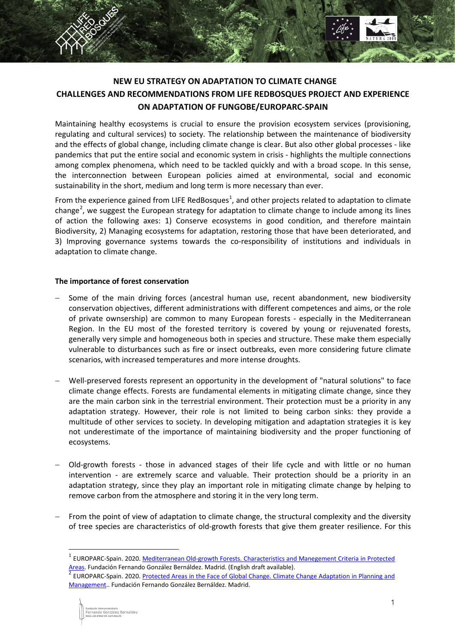

## **NEW EU STRATEGY ON ADAPTATION TO CLIMATE CHANGE CHALLENGES AND RECOMMENDATIONS FROM LIFE REDBOSQUES PROJECT AND EXPERIENCE ON ADAPTATION OF FUNGOBE/EUROPARC-SPAIN**

Maintaining healthy ecosystems is crucial to ensure the provision ecosystem services (provisioning, regulating and cultural services) to society. The relationship between the maintenance of biodiversity and the effects of global change, including climate change is clear. But also other global processes - like pandemics that put the entire social and economic system in crisis - highlights the multiple connections among complex phenomena, which need to be tackled quickly and with a broad scope. In this sense, the interconnection between European policies aimed at environmental, social and economic sustainability in the short, medium and long term is more necessary than ever.

From the experience gained from LIFE RedBosques<sup>[1](#page-0-0)</sup>, and other projects related to adaptation to climate change<sup>[2](#page-0-1)</sup>, we suggest the European strategy for adaptation to climate change to include among its lines of action the following axes: 1) Conserve ecosystems in good condition, and therefore maintain Biodiversity, 2) Managing ecosystems for adaptation, restoring those that have been deteriorated, and 3) Improving governance systems towards the co-responsibility of institutions and individuals in adaptation to climate change.

## **The importance of forest conservation**

- Some of the main driving forces (ancestral human use, recent abandonment, new biodiversity conservation objectives, different administrations with different competences and aims, or the role of private ownsership) are common to many European forests - especially in the Mediterranean Region. In the EU most of the forested territory is covered by young or rejuvenated forests, generally very simple and homogeneous both in species and structure. These make them especially vulnerable to disturbances such as fire or insect outbreaks, even more considering future climate scenarios, with increased temperatures and more intense droughts.
- Well-preserved forests represent an opportunity in the development of "natural solutions" to face climate change effects. Forests are fundamental elements in mitigating climate change, since they are the main carbon sink in the terrestrial environment. Their protection must be a priority in any adaptation strategy. However, their role is not limited to being carbon sinks: they provide a multitude of other services to society. In developing mitigation and adaptation strategies it is key not underestimate of the importance of maintaining biodiversity and the proper functioning of ecosystems.
- − Old-growth forests those in advanced stages of their life cycle and with little or no human intervention - are extremely scarce and valuable. Their protection should be a priority in an adaptation strategy, since they play an important role in mitigating climate change by helping to remove carbon from the atmosphere and storing it in the very long term.
- From the point of view of adaptation to climate change, the structural complexity and the diversity of tree species are characteristics of old-growth forests that give them greater resilience. For this

-

<span id="page-0-0"></span><sup>&</sup>lt;sup>1</sup> EUROPARC-Spain. 2020. <u>Mediterranean Old-growth Forests. Characteristics and Manegement Criteria in Protected<br>Areas. Fundación Fernando González Bernáldez. Madrid. (English draft available).</u>

<span id="page-0-1"></span>EUROPARC-Spain. 2020. Protected Areas in the Face of Global Change. Climate Change Adaptation in Planning and [Management.](http://www.redeuroparc.org/system/files/shared/Publicaciones/manual13_eng.pdf). Fundación Fernando González Bernáldez. Madrid.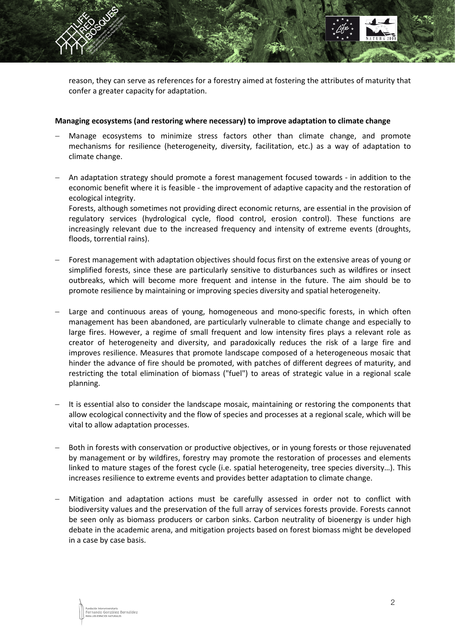reason, they can serve as references for a forestry aimed at fostering the attributes of maturity that confer a greater capacity for adaptation.

## **Managing ecosystems (and restoring where necessary) to improve adaptation to climate change**

- Manage ecosystems to minimize stress factors other than climate change, and promote mechanisms for resilience (heterogeneity, diversity, facilitation, etc.) as a way of adaptation to climate change.
- − An adaptation strategy should promote a forest management focused towards in addition to the economic benefit where it is feasible - the improvement of adaptive capacity and the restoration of ecological integrity. Forests, although sometimes not providing direct economic returns, are essential in the provision of regulatory services (hydrological cycle, flood control, erosion control). These functions are increasingly relevant due to the increased frequency and intensity of extreme events (droughts,
- Forest management with adaptation objectives should focus first on the extensive areas of young or simplified forests, since these are particularly sensitive to disturbances such as wildfires or insect outbreaks, which will become more frequent and intense in the future. The aim should be to promote resilience by maintaining or improving species diversity and spatial heterogeneity.
- Large and continuous areas of young, homogeneous and mono-specific forests, in which often management has been abandoned, are particularly vulnerable to climate change and especially to large fires. However, a regime of small frequent and low intensity fires plays a relevant role as creator of heterogeneity and diversity, and paradoxically reduces the risk of a large fire and improves resilience. Measures that promote landscape composed of a heterogeneous mosaic that hinder the advance of fire should be promoted, with patches of different degrees of maturity, and restricting the total elimination of biomass ("fuel") to areas of strategic value in a regional scale planning.
- It is essential also to consider the landscape mosaic, maintaining or restoring the components that allow ecological connectivity and the flow of species and processes at a regional scale, which will be vital to allow adaptation processes.
- Both in forests with conservation or productive objectives, or in young forests or those rejuvenated by management or by wildfires, forestry may promote the restoration of processes and elements linked to mature stages of the forest cycle (i.e. spatial heterogeneity, tree species diversity…). This increases resilience to extreme events and provides better adaptation to climate change.
- − Mitigation and adaptation actions must be carefully assessed in order not to conflict with biodiversity values and the preservation of the full array of services forests provide. Forests cannot be seen only as biomass producers or carbon sinks. Carbon neutrality of bioenergy is under high debate in the academic arena, and mitigation projects based on forest biomass might be developed in a case by case basis.

floods, torrential rains).